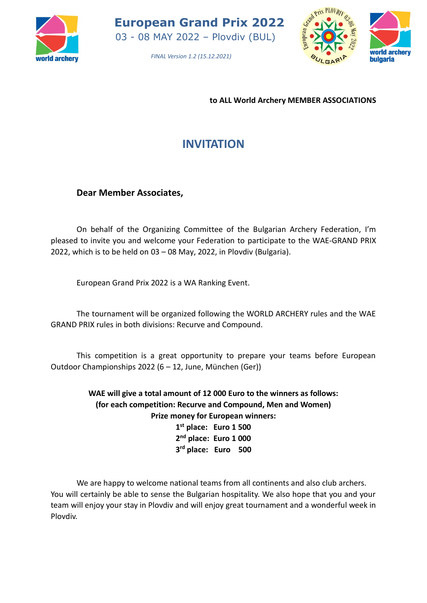

*FINAL Version 1.2 (15.12.2021)*



**to ALL World Archery MEMBER ASSOCIATIONS**

# **INVITATION**

**Dear Member Associates,**

On behalf of the Organizing Committee of the Bulgarian Archery Federation, I'm pleased to invite you and welcome your Federation to participate to the WAE-GRAND PRIX 2022, which is to be held on 03 – 08 May, 2022, in Plovdiv (Bulgaria).

European Grand Prix 2022 is a WA Ranking Event.

The tournament will be organized following the WORLD ARCHERY rules and the WAE GRAND PRIX rules in both divisions: Recurve and Compound.

This competition is a great opportunity to prepare your teams before European Outdoor Championships 2022 (6 – 12, June, München (Ger))

> **WAE will give a total amount of 12 000 Euro to the winners as follows: (for each competition: Recurve and Compound, Men and Women) Prize money for European winners:**

**1 st place: Euro 1 500 2 nd place: Euro 1 000 3 rd place: Euro 500**

We are happy to welcome national teams from all continents and also club archers. You will certainly be able to sense the Bulgarian hospitality. We also hope that you and your team will enjoy your stay in Plovdiv and will enjoy great tournament and a wonderful week in Plovdiv.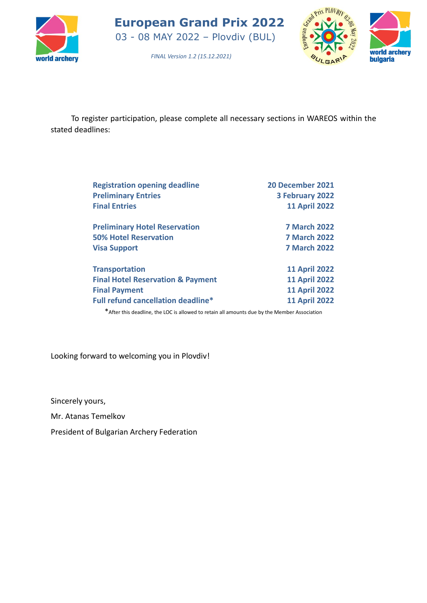



*FINAL Version 1.2 (15.12.2021)*

To register participation, please complete all necessary sections in WAREOS within the stated deadlines:

| <b>Registration opening deadline</b>         | 20 December 2021     |
|----------------------------------------------|----------------------|
| <b>Preliminary Entries</b>                   | 3 February 2022      |
| <b>Final Entries</b>                         | <b>11 April 2022</b> |
| <b>Preliminary Hotel Reservation</b>         | <b>7 March 2022</b>  |
| <b>50% Hotel Reservation</b>                 | <b>7 March 2022</b>  |
| <b>Visa Support</b>                          | <b>7 March 2022</b>  |
| <b>Transportation</b>                        | <b>11 April 2022</b> |
| <b>Final Hotel Reservation &amp; Payment</b> | <b>11 April 2022</b> |
| <b>Final Payment</b>                         | <b>11 April 2022</b> |
| <b>Full refund cancellation deadline*</b>    | <b>11 April 2022</b> |

\*After this deadline, the LOC is allowed to retain all amounts due by the Member Association

Looking forward to welcoming you in Plovdiv!

Sincerely yours,

Mr. Atanas Temelkov

President of Bulgarian Archery Federation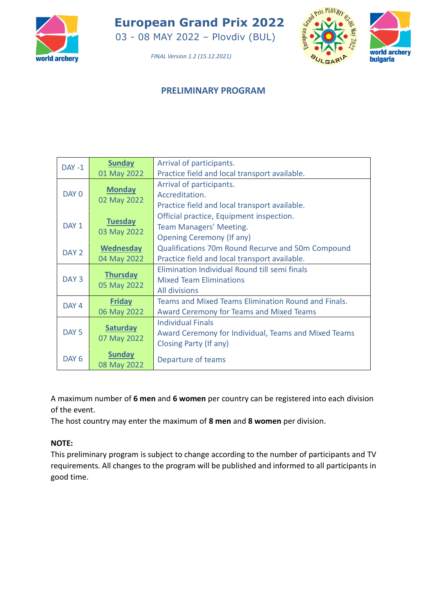

03 - 08 MAY 2022 – Plovdiv (BUL)



*FINAL Version 1.2 (15.12.2021)*

## **PRELIMINARY PROGRAM**

| $DAY - 1$        | <b>Sunday</b>                  | Arrival of participants.                             |
|------------------|--------------------------------|------------------------------------------------------|
|                  | 01 May 2022                    | Practice field and local transport available.        |
|                  | <b>Monday</b>                  | Arrival of participants.                             |
| DAY 0            | 02 May 2022                    | Accreditation.                                       |
|                  |                                | Practice field and local transport available.        |
|                  | <b>Tuesday</b>                 | Official practice, Equipment inspection.             |
| DAY <sub>1</sub> | 03 May 2022                    | Team Managers' Meeting.                              |
|                  |                                | <b>Opening Ceremony (If any)</b>                     |
| DAY <sub>2</sub> | <b>Wednesday</b>               | Qualifications 70m Round Recurve and 50m Compound    |
|                  | 04 May 2022                    | Practice field and local transport available.        |
|                  |                                | Elimination Individual Round till semi finals        |
| DAY <sub>3</sub> | <b>Thursday</b><br>05 May 2022 | <b>Mixed Team Eliminations</b>                       |
|                  |                                | <b>All divisions</b>                                 |
| DAY 4            | <b>Friday</b>                  | Teams and Mixed Teams Elimination Round and Finals.  |
|                  | 06 May 2022                    | <b>Award Ceremony for Teams and Mixed Teams</b>      |
|                  |                                | <b>Individual Finals</b>                             |
| DAY <sub>5</sub> | <b>Saturday</b>                | Award Ceremony for Individual, Teams and Mixed Teams |
|                  | 07 May 2022                    | Closing Party (If any)                               |
| DAY <sub>6</sub> | <b>Sunday</b>                  |                                                      |
|                  | 08 May 2022                    | Departure of teams                                   |

A maximum number of **6 men** and **6 women** per country can be registered into each division of the event.

The host country may enter the maximum of **8 men** and **8 women** per division.

## **NOTE:**

This preliminary program is subject to change according to the number of participants and TV requirements. All changes to the program will be published and informed to all participants in good time.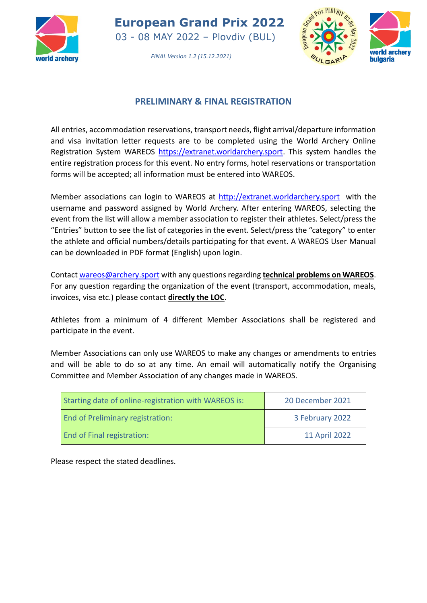

03 - 08 MAY 2022 – Plovdiv (BUL)



*FINAL Version 1.2 (15.12.2021)*

# **PRELIMINARY & FINAL REGISTRATION**

All entries, accommodation reservations, transport needs, flight arrival/departure information and visa invitation letter requests are to be completed using the World Archery Online Registration System WAREOS [https://extranet.worldarchery.sport.](https://extranet.worldarchery.sport/) This system handles the entire registration process for this event. No entry forms, hotel reservations or transportation forms will be accepted; all information must be entered into WAREOS.

Member associations can login to WAREOS at [http://extranet.worldarchery.sport](http://extranet.worldarchery.sport/) with the username and password assigned by World Archery. After entering WAREOS, selecting the event from the list will allow a member association to register their athletes. Select/press the "Entries" button to see the list of categories in the event. Select/press the "category" to enter the athlete and official numbers/details participating for that event. A WAREOS User Manual can be downloaded in PDF format (English) upon login.

Contact [wareos@archery.sport](mailto:wareos@archery.sport) with any questions regarding **technical problems on WAREOS**. For any question regarding the organization of the event (transport, accommodation, meals, invoices, visa etc.) please contact **directly the LOC**.

Athletes from a minimum of 4 different Member Associations shall be registered and participate in the event.

Member Associations can only use WAREOS to make any changes or amendments to entries and will be able to do so at any time. An email will automatically notify the Organising Committee and Member Association of any changes made in WAREOS.

| Starting date of online-registration with WAREOS is: | 20 December 2021 |
|------------------------------------------------------|------------------|
| <b>End of Preliminary registration:</b>              | 3 February 2022  |
| <b>End of Final registration:</b>                    | 11 April 2022    |

Please respect the stated deadlines.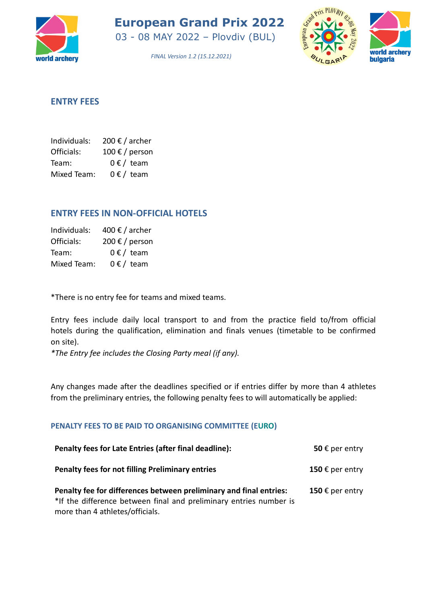

03 - 08 MAY 2022 – Plovdiv (BUL)



*FINAL Version 1.2 (15.12.2021)*

## **ENTRY FEES**

| Individuals: | 200 € / archer |
|--------------|----------------|
| Officials:   | 100 € / person |
| Team:        | $0 \in /$ team |
| Mixed Team:  | $0 \in /$ team |

## **ENTRY FEES IN NON-OFFICIAL HOTELS**

| Individuals: | 400 € / archer |
|--------------|----------------|
| Officials:   | 200 € / person |
| Team:        | $0 \in /$ team |
| Mixed Team:  | $0 \in /$ team |

\*There is no entry fee for teams and mixed teams.

Entry fees include daily local transport to and from the practice field to/from official hotels during the qualification, elimination and finals venues (timetable to be confirmed on site).

*\*The Entry fee includes the Closing Party meal (if any).* 

Any changes made after the deadlines specified or if entries differ by more than 4 athletes from the preliminary entries, the following penalty fees to will automatically be applied:

#### **PENALTY FEES TO BE PAID TO ORGANISING COMMITTEE (EURO)**

| Penalty fees for Late Entries (after final deadline):                                                                                                                       | 50 $\epsilon$ per entry |
|-----------------------------------------------------------------------------------------------------------------------------------------------------------------------------|-------------------------|
| <b>Penalty fees for not filling Preliminary entries</b>                                                                                                                     | 150 € per entry         |
| Penalty fee for differences between preliminary and final entries:<br>*If the difference between final and preliminary entries number is<br>more than 4 athletes/officials. | 150 € per entry         |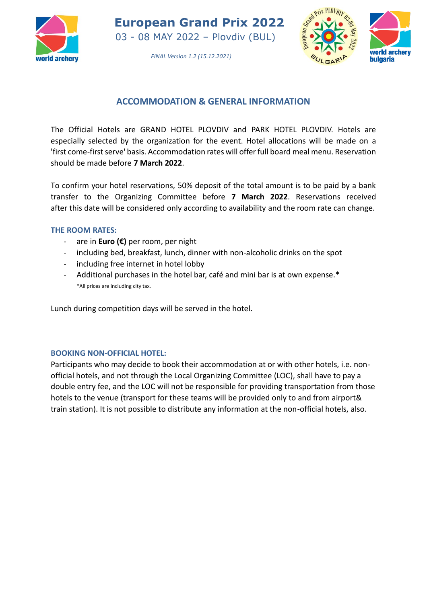

03 - 08 MAY 2022 – Plovdiv (BUL)



*FINAL Version 1.2 (15.12.2021)*

# **ACCOMMODATION & GENERAL INFORMATION**

The Official Hotels are GRAND HOTEL PLOVDIV and PARK HOTEL PLOVDIV. Hotels are especially selected by the organization for the event. Hotel allocations will be made on a 'first come-first serve' basis. Accommodation rates will offer full board meal menu. Reservation should be made before **7 March 2022**.

To confirm your hotel reservations, 50% deposit of the total amount is to be paid by a bank transfer to the Organizing Committee before **7 March 2022**. Reservations received after this date will be considered only according to availability and the room rate can change.

#### **THE ROOM RATES:**

- are in **Euro (€)** per room, per night
- including bed, breakfast, lunch, dinner with non-alcoholic drinks on the spot
- including free internet in hotel lobby
- Additional purchases in the hotel bar, café and mini bar is at own expense.\* \*All prices are including city tax.

Lunch during competition days will be served in the hotel.

#### **BOOKING NON-OFFICIAL HOTEL:**

Participants who may decide to book their accommodation at or with other hotels, i.e. nonofficial hotels, and not through the Local Organizing Committee (LOC), shall have to pay a double entry fee, and the LOC will not be responsible for providing transportation from those hotels to the venue (transport for these teams will be provided only to and from airport& train station). It is not possible to distribute any information at the non-official hotels, also.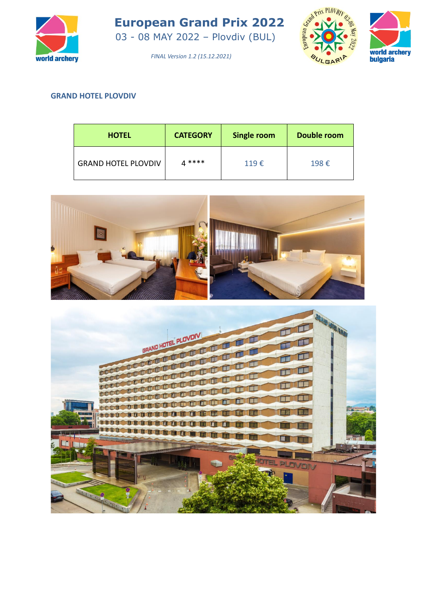

03 - 08 MAY 2022 – Plovdiv (BUL)



*FINAL Version 1.2 (15.12.2021)*

## **GRAND HOTEL PLOVDIV**

| <b>HOTEL</b>               | <b>CATEGORY</b> | Single room | Double room |
|----------------------------|-----------------|-------------|-------------|
| <b>GRAND HOTEL PLOVDIV</b> | 4****           | 119€        | 198€        |



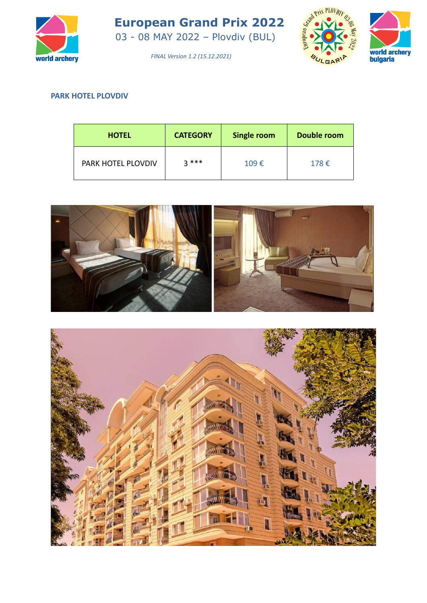

03 - 08 MAY 2022 – Plovdiv (BUL)



*FINAL Version 1.2 (15.12.2021)*

## **PARK HOTEL PLOVDIV**

| <b>HOTEL</b>       | <b>CATEGORY</b> | Single room | Double room |
|--------------------|-----------------|-------------|-------------|
| PARK HOTEL PLOVDIV | $2***$          | 109€        | 178€        |



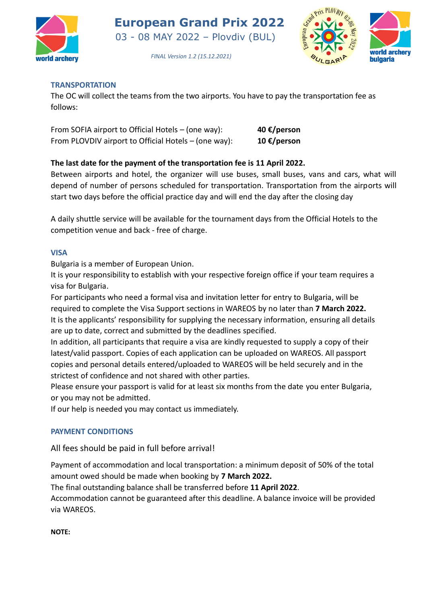

03 - 08 MAY 2022 – Plovdiv (BUL)



*FINAL Version 1.2 (15.12.2021)*

#### **TRANSPORTATION**

The OC will collect the teams from the two airports. You have to pay the transportation fee as follows:

| From SOFIA airport to Official Hotels – (one way):   | 40 €/person |
|------------------------------------------------------|-------------|
| From PLOVDIV airport to Official Hotels - (one way): | 10 €/person |

#### **The last date for the payment of the transportation fee is 11 April 2022.**

Between airports and hotel, the organizer will use buses, small buses, vans and cars, what will depend of number of persons scheduled for transportation. Transportation from the airports will start two days before the official practice day and will end the day after the closing day

A daily shuttle service will be available for the tournament days from the Official Hotels to the competition venue and back - free of charge.

#### **VISA**

Bulgaria is a member of European Union.

It is your responsibility to establish with your respective foreign office if your team requires a visa for Bulgaria.

For participants who need a formal visa and invitation letter for entry to Bulgaria, will be required to complete the Visa Support sections in WAREOS by no later than **7 March 2022.** It is the applicants' responsibility for supplying the necessary information, ensuring all details are up to date, correct and submitted by the deadlines specified.

In addition, all participants that require a visa are kindly requested to supply a copy of their latest/valid passport. Copies of each application can be uploaded on WAREOS. All passport copies and personal details entered/uploaded to WAREOS will be held securely and in the strictest of confidence and not shared with other parties.

Please ensure your passport is valid for at least six months from the date you enter Bulgaria, or you may not be admitted.

If our help is needed you may contact us immediately.

#### **PAYMENT CONDITIONS**

All fees should be paid in full before arrival!

Payment of accommodation and local transportation: a minimum deposit of 50% of the total amount owed should be made when booking by **7 March 2022.**

The final outstanding balance shall be transferred before **11 April 2022**.

Accommodation cannot be guaranteed after this deadline. A balance invoice will be provided via WAREOS.

**NOTE:**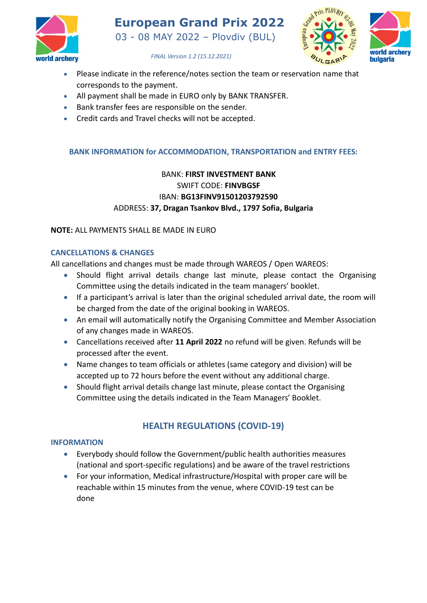



*FINAL Version 1.2 (15.12.2021)*

- Please indicate in the reference/notes section the team or reservation name that corresponds to the payment.
- All payment shall be made in EURO only by BANK TRANSFER.
- Bank transfer fees are responsible on the sender.
- Credit cards and Travel checks will not be accepted.

#### **BANK INFORMATION for ACCOMMODATION, TRANSPORTATION and ENTRY FEES:**

# BANK: **FIRST INVESTMENT BANK** SWIFT CODE: **FINVBGSF** IBAN: **BG13FINV91501203792590** ADDRESS: **37, Dragan Tsankov Blvd., 1797 Sofia, Bulgaria**

#### **NOTE:** ALL PAYMENTS SHALL BE MADE IN EURO

#### **CANCELLATIONS & CHANGES**

All cancellations and changes must be made through WAREOS / Open WAREOS:

- Should flight arrival details change last minute, please contact the Organising Committee using the details indicated in the team managers' booklet.
- If a participant's arrival is later than the original scheduled arrival date, the room will be charged from the date of the original booking in WAREOS.
- An email will automatically notify the Organising Committee and Member Association of any changes made in WAREOS.
- Cancellations received after **11 April 2022** no refund will be given. Refunds will be processed after the event.
- Name changes to team officials or athletes (same category and division) will be accepted up to 72 hours before the event without any additional charge.
- Should flight arrival details change last minute, please contact the Organising Committee using the details indicated in the Team Managers' Booklet.

# **HEALTH REGULATIONS (COVID-19)**

## **INFORMATION**

- Everybody should follow the Government/public health authorities measures (national and sport-specific regulations) and be aware of the travel restrictions
- For your information, Medical infrastructure/Hospital with proper care will be reachable within 15 minutes from the venue, where COVID-19 test can be done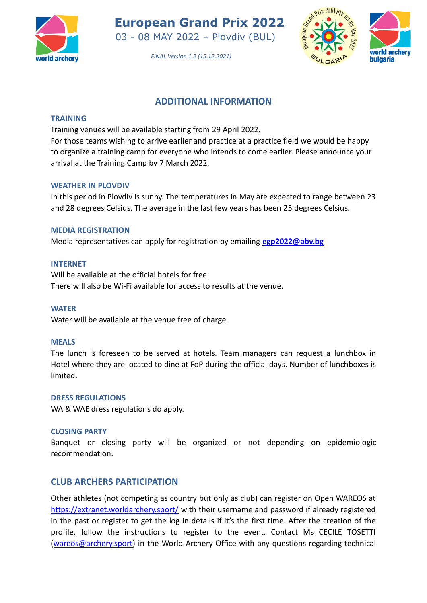

03 - 08 MAY 2022 – Plovdiv (BUL)



*FINAL Version 1.2 (15.12.2021)*

## **ADDITIONAL INFORMATION**

#### **TRAINING**

Training venues will be available starting from 29 April 2022.

For those teams wishing to arrive earlier and practice at a practice field we would be happy to organize a training camp for everyone who intends to come earlier. Please announce your arrival at the Training Camp by 7 March 2022.

#### **WEATHER IN PLOVDIV**

In this period in Plovdiv is sunny. The temperatures in May are expected to range between 23 and 28 degrees Celsius. The average in the last few years has been 25 degrees Celsius.

#### **MEDIA REGISTRATION**

Media representatives can apply for registration by emailing **[egp2022@abv.bg](mailto:egp2022@abv.bg)**

#### **INTERNET**

Will be available at the official hotels for free. There will also be Wi-Fi available for access to results at the venue.

#### **WATER**

Water will be available at the venue free of charge.

#### **MEALS**

The lunch is foreseen to be served at hotels. Team managers can request a lunchbox in Hotel where they are located to dine at FoP during the official days. Number of lunchboxes is limited.

#### **DRESS REGULATIONS**

WA & WAE dress regulations do apply.

#### **CLOSING PARTY**

Banquet or closing party will be organized or not depending on epidemiologic recommendation.

## **CLUB ARCHERS PARTICIPATION**

Other athletes (not competing as country but only as club) can register on Open WAREOS at <https://extranet.worldarchery.sport/> with their username and password if already registered in the past or register to get the log in details if it's the first time. After the creation of the profile, follow the instructions to register to the event. Contact Ms CECILE TOSETTI [\(wareos@archery.sport\)](mailto:wareos@archery.sport) in the World Archery Office with any questions regarding technical